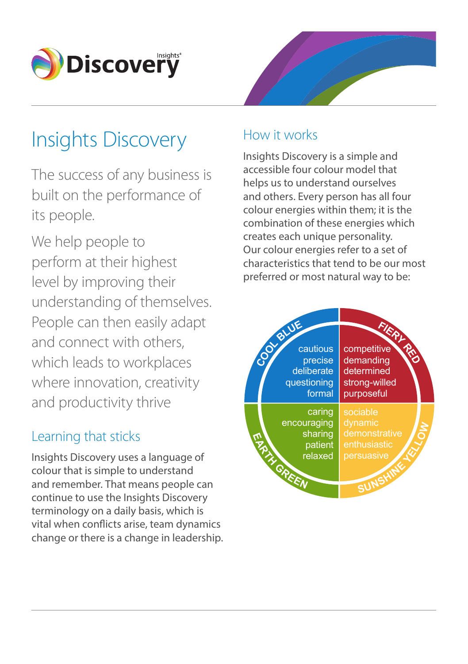

# Insights Discovery

The success of any business is built on the performance of its people.

We help people to perform at their highest level by improving their understanding of themselves. People can then easily adapt and connect with others, which leads to workplaces where innovation, creativity and productivity thrive

## Learning that sticks

Insights Discovery uses a language of colour that is simple to understand and remember. That means people can continue to use the Insights Discovery terminology on a daily basis, which is vital when conficts arise, team dynamics change or there is a change in leadership.



## How it works

Insights Discovery is a simple and accessible four colour model that helps us to understand ourselves and others. Every person has all four colour energies within them; it is the combination of these energies which creates each unique personality. Our colour energies refer to a set of characteristics that tend to be our most preferred or most natural way to be: